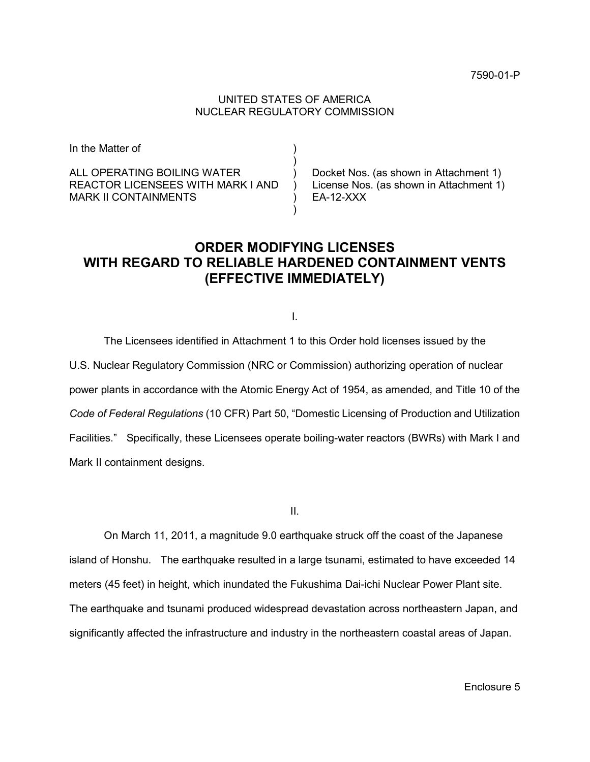## UNITED STATES OF AMERICA NUCLEAR REGULATORY COMMISSION

| In the Matter of                  |                                         |
|-----------------------------------|-----------------------------------------|
| ALL OPERATING BOILING WATER       | Docket Nos. (as shown in Attachment 1)  |
| REACTOR LICENSEES WITH MARK I AND | License Nos. (as shown in Attachment 1) |
| <b>MARK II CONTAINMENTS</b>       | EA-12-XXX                               |

# **ORDER MODIFYING LICENSES WITH REGARD TO RELIABLE HARDENED CONTAINMENT VENTS (EFFECTIVE IMMEDIATELY)**

**I.** The contract of the contract of the contract of the contract of the contract of

The Licensees identified in Attachment 1 to this Order hold licenses issued by the U.S. Nuclear Regulatory Commission (NRC or Commission) authorizing operation of nuclear power plants in accordance with the Atomic Energy Act of 1954, as amended, and Title 10 of the *Code of Federal Regulations* (10 CFR) Part 50, "Domestic Licensing of Production and Utilization Facilities." Specifically, these Licensees operate boiling-water reactors (BWRs) with Mark I and Mark II containment designs.

**III. III. III. III. III. III. III. III. III. III. III. III. III. III. III. III. III. III. III. III. III. III. III. III. III. III. III. III. III. III. III. III.** 

On March 11, 2011, a magnitude 9.0 earthquake struck off the coast of the Japanese island of Honshu. The earthquake resulted in a large tsunami, estimated to have exceeded 14 meters (45 feet) in height, which inundated the Fukushima Dai-ichi Nuclear Power Plant site. The earthquake and tsunami produced widespread devastation across northeastern Japan, and significantly affected the infrastructure and industry in the northeastern coastal areas of Japan.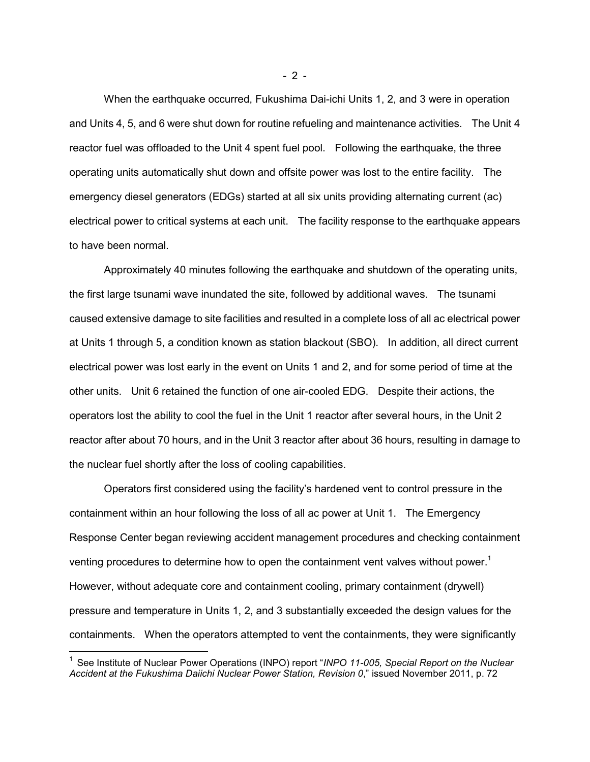When the earthquake occurred, Fukushima Dai-ichi Units 1, 2, and 3 were in operation and Units 4, 5, and 6 were shut down for routine refueling and maintenance activities. The Unit 4 reactor fuel was offloaded to the Unit 4 spent fuel pool. Following the earthquake, the three operating units automatically shut down and offsite power was lost to the entire facility. The emergency diesel generators (EDGs) started at all six units providing alternating current (ac) electrical power to critical systems at each unit. The facility response to the earthquake appears to have been normal.

Approximately 40 minutes following the earthquake and shutdown of the operating units, the first large tsunami wave inundated the site, followed by additional waves. The tsunami caused extensive damage to site facilities and resulted in a complete loss of all ac electrical power at Units 1 through 5, a condition known as station blackout (SBO). In addition, all direct current electrical power was lost early in the event on Units 1 and 2, and for some period of time at the other units. Unit 6 retained the function of one air-cooled EDG. Despite their actions, the operators lost the ability to cool the fuel in the Unit 1 reactor after several hours, in the Unit 2 reactor after about 70 hours, and in the Unit 3 reactor after about 36 hours, resulting in damage to the nuclear fuel shortly after the loss of cooling capabilities.

Operators first considered using the facility's hardened vent to control pressure in the containment within an hour following the loss of all ac power at Unit 1. The Emergency Response Center began reviewing accident management procedures and checking containment venting procedures to determine how to open the containment vent valves without power.<sup>1</sup> However, without adequate core and containment cooling, primary containment (drywell) pressure and temperature in Units 1, 2, and 3 substantially exceeded the design values for the containments. When the operators attempted to vent the containments, they were significantly

1

- 2 -

<sup>1</sup> See Institute of Nuclear Power Operations (INPO) report "*INPO 11-005, Special Report on the Nuclear Accident at the Fukushima Daiichi Nuclear Power Station, Revision 0*," issued November 2011, p. 72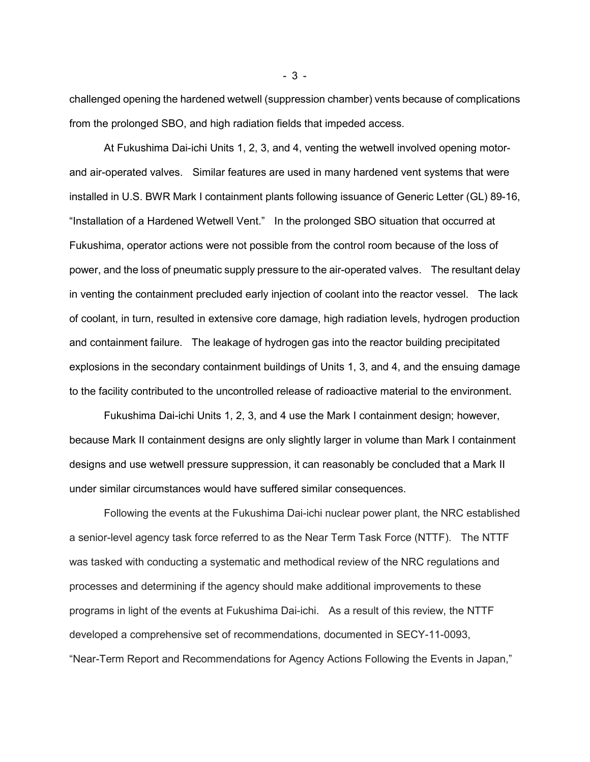challenged opening the hardened wetwell (suppression chamber) vents because of complications from the prolonged SBO, and high radiation fields that impeded access.

At Fukushima Dai-ichi Units 1, 2, 3, and 4, venting the wetwell involved opening motorand air-operated valves. Similar features are used in many hardened vent systems that were installed in U.S. BWR Mark I containment plants following issuance of Generic Letter (GL) 89-16, "Installation of a Hardened Wetwell Vent." In the prolonged SBO situation that occurred at Fukushima, operator actions were not possible from the control room because of the loss of power, and the loss of pneumatic supply pressure to the air-operated valves. The resultant delay in venting the containment precluded early injection of coolant into the reactor vessel. The lack of coolant, in turn, resulted in extensive core damage, high radiation levels, hydrogen production and containment failure. The leakage of hydrogen gas into the reactor building precipitated explosions in the secondary containment buildings of Units 1, 3, and 4, and the ensuing damage to the facility contributed to the uncontrolled release of radioactive material to the environment.

Fukushima Dai-ichi Units 1, 2, 3, and 4 use the Mark I containment design; however, because Mark II containment designs are only slightly larger in volume than Mark I containment designs and use wetwell pressure suppression, it can reasonably be concluded that a Mark II under similar circumstances would have suffered similar consequences.

Following the events at the Fukushima Dai-ichi nuclear power plant, the NRC established a senior-level agency task force referred to as the Near Term Task Force (NTTF). The NTTF was tasked with conducting a systematic and methodical review of the NRC regulations and processes and determining if the agency should make additional improvements to these programs in light of the events at Fukushima Dai-ichi. As a result of this review, the NTTF developed a comprehensive set of recommendations, documented in SECY-11-0093, "Near-Term Report and Recommendations for Agency Actions Following the Events in Japan,"

- 3 -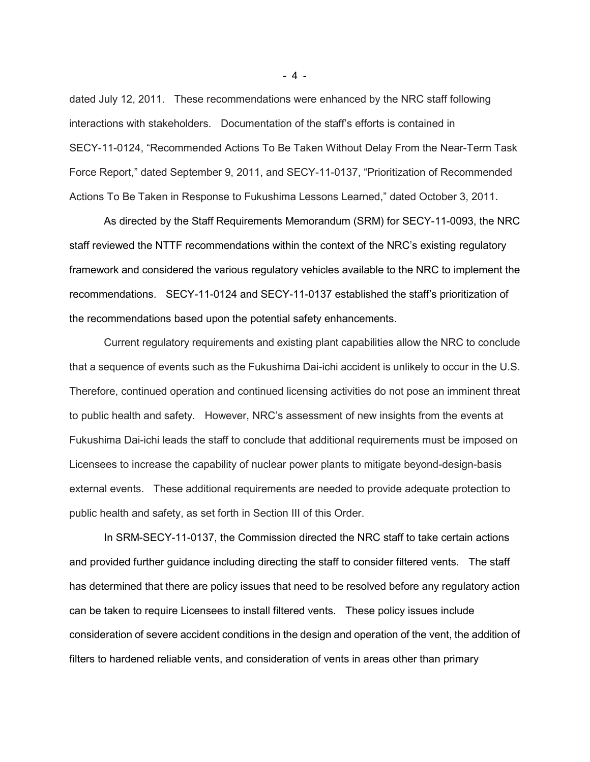dated July 12, 2011. These recommendations were enhanced by the NRC staff following interactions with stakeholders. Documentation of the staff's efforts is contained in SECY-11-0124, "Recommended Actions To Be Taken Without Delay From the Near-Term Task Force Report," dated September 9, 2011, and SECY-11-0137, "Prioritization of Recommended Actions To Be Taken in Response to Fukushima Lessons Learned," dated October 3, 2011.

As directed by the Staff Requirements Memorandum (SRM) for SECY-11-0093, the NRC staff reviewed the NTTF recommendations within the context of the NRC's existing regulatory framework and considered the various regulatory vehicles available to the NRC to implement the recommendations. SECY-11-0124 and SECY-11-0137 established the staff's prioritization of the recommendations based upon the potential safety enhancements.

Current regulatory requirements and existing plant capabilities allow the NRC to conclude that a sequence of events such as the Fukushima Dai-ichi accident is unlikely to occur in the U.S. Therefore, continued operation and continued licensing activities do not pose an imminent threat to public health and safety. However, NRC's assessment of new insights from the events at Fukushima Dai-ichi leads the staff to conclude that additional requirements must be imposed on Licensees to increase the capability of nuclear power plants to mitigate beyond-design-basis external events. These additional requirements are needed to provide adequate protection to public health and safety, as set forth in Section III of this Order.

In SRM-SECY-11-0137, the Commission directed the NRC staff to take certain actions and provided further guidance including directing the staff to consider filtered vents. The staff has determined that there are policy issues that need to be resolved before any regulatory action can be taken to require Licensees to install filtered vents. These policy issues include consideration of severe accident conditions in the design and operation of the vent, the addition of filters to hardened reliable vents, and consideration of vents in areas other than primary

- 4 -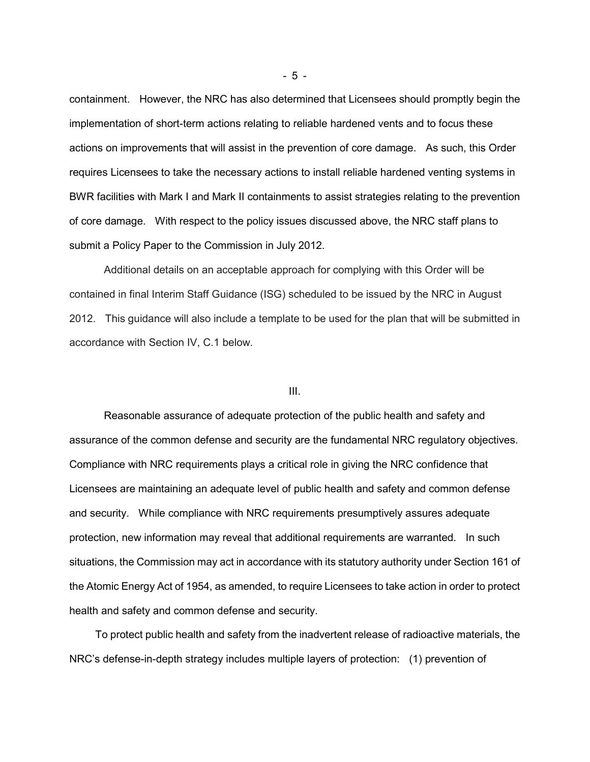containment. However, the NRC has also determined that Licensees should promptly begin the implementation of short-term actions relating to reliable hardened vents and to focus these actions on improvements that will assist in the prevention of core damage. As such, this Order requires Licensees to take the necessary actions to install reliable hardened venting systems in BWR facilities with Mark I and Mark II containments to assist strategies relating to the prevention of core damage. With respect to the policy issues discussed above, the NRC staff plans to submit a Policy Paper to the Commission in July 2012.

Additional details on an acceptable approach for complying with this Order will be contained in final Interim Staff Guidance (ISG) scheduled to be issued by the NRC in August 2012. This guidance will also include a template to be used for the plan that will be submitted in accordance with Section IV, C.1 below.

#### III.

Reasonable assurance of adequate protection of the public health and safety and assurance of the common defense and security are the fundamental NRC regulatory objectives. Compliance with NRC requirements plays a critical role in giving the NRC confidence that Licensees are maintaining an adequate level of public health and safety and common defense and security. While compliance with NRC requirements presumptively assures adequate protection, new information may reveal that additional requirements are warranted. In such situations, the Commission may act in accordance with its statutory authority under Section 161 of the Atomic Energy Act of 1954, as amended, to require Licensees to take action in order to protect health and safety and common defense and security.

To protect public health and safety from the inadvertent release of radioactive materials, the NRC's defense-in-depth strategy includes multiple layers of protection: (1) prevention of

- 5 -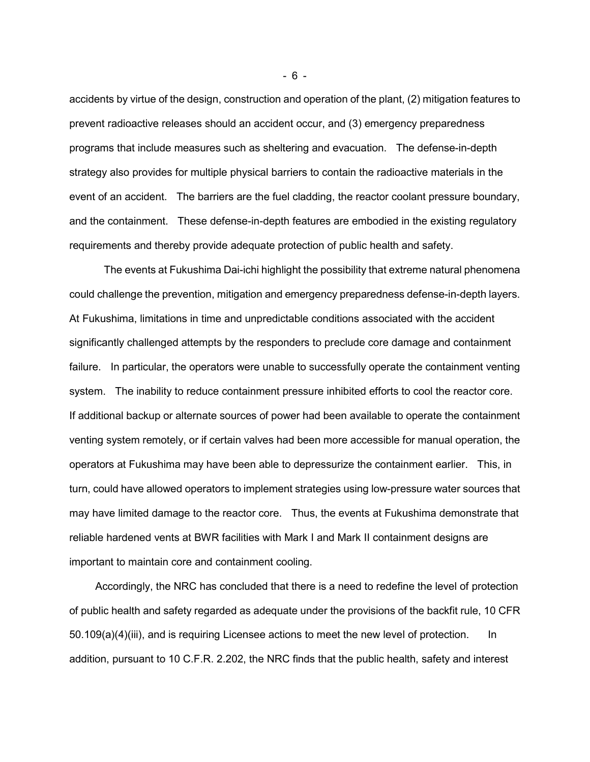accidents by virtue of the design, construction and operation of the plant, (2) mitigation features to prevent radioactive releases should an accident occur, and (3) emergency preparedness programs that include measures such as sheltering and evacuation. The defense-in-depth strategy also provides for multiple physical barriers to contain the radioactive materials in the event of an accident. The barriers are the fuel cladding, the reactor coolant pressure boundary, and the containment. These defense-in-depth features are embodied in the existing regulatory requirements and thereby provide adequate protection of public health and safety.

The events at Fukushima Dai-ichi highlight the possibility that extreme natural phenomena could challenge the prevention, mitigation and emergency preparedness defense-in-depth layers. At Fukushima, limitations in time and unpredictable conditions associated with the accident significantly challenged attempts by the responders to preclude core damage and containment failure. In particular, the operators were unable to successfully operate the containment venting system. The inability to reduce containment pressure inhibited efforts to cool the reactor core. If additional backup or alternate sources of power had been available to operate the containment venting system remotely, or if certain valves had been more accessible for manual operation, the operators at Fukushima may have been able to depressurize the containment earlier. This, in turn, could have allowed operators to implement strategies using low-pressure water sources that may have limited damage to the reactor core. Thus, the events at Fukushima demonstrate that reliable hardened vents at BWR facilities with Mark I and Mark II containment designs are important to maintain core and containment cooling.

Accordingly, the NRC has concluded that there is a need to redefine the level of protection of public health and safety regarded as adequate under the provisions of the backfit rule, 10 CFR 50.109(a)(4)(iii), and is requiring Licensee actions to meet the new level of protection. In addition, pursuant to 10 C.F.R. 2.202, the NRC finds that the public health, safety and interest

- 6 -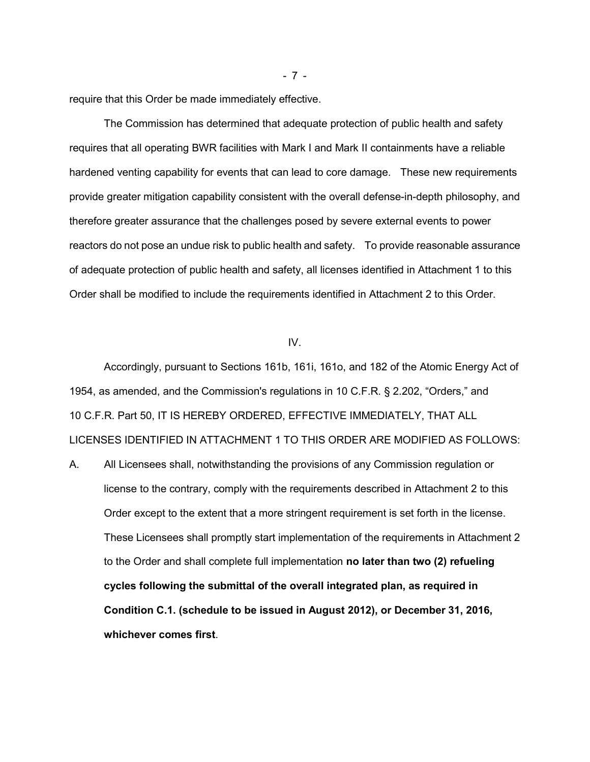require that this Order be made immediately effective.

The Commission has determined that adequate protection of public health and safety requires that all operating BWR facilities with Mark I and Mark II containments have a reliable hardened venting capability for events that can lead to core damage. These new requirements provide greater mitigation capability consistent with the overall defense-in-depth philosophy, and therefore greater assurance that the challenges posed by severe external events to power reactors do not pose an undue risk to public health and safety. To provide reasonable assurance of adequate protection of public health and safety, all licenses identified in Attachment 1 to this Order shall be modified to include the requirements identified in Attachment 2 to this Order.

#### IV.

Accordingly, pursuant to Sections 161b, 161i, 161o, and 182 of the Atomic Energy Act of 1954, as amended, and the Commission's regulations in 10 C.F.R. § 2.202, "Orders," and 10 C.F.R. Part 50, IT IS HEREBY ORDERED, EFFECTIVE IMMEDIATELY, THAT ALL LICENSES IDENTIFIED IN ATTACHMENT 1 TO THIS ORDER ARE MODIFIED AS FOLLOWS:

A. All Licensees shall, notwithstanding the provisions of any Commission regulation or license to the contrary, comply with the requirements described in Attachment 2 to this Order except to the extent that a more stringent requirement is set forth in the license. These Licensees shall promptly start implementation of the requirements in Attachment 2 to the Order and shall complete full implementation **no later than two (2) refueling cycles following the submittal of the overall integrated plan, as required in Condition C.1. (schedule to be issued in August 2012), or December 31, 2016, whichever comes first**.

- 7 -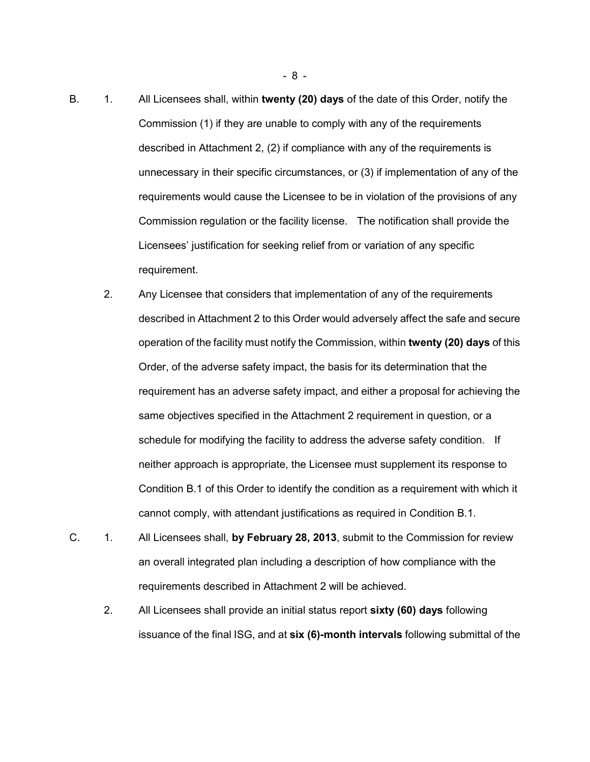- B. 1. All Licensees shall, within **twenty (20) days** of the date of this Order, notify the Commission (1) if they are unable to comply with any of the requirements described in Attachment 2, (2) if compliance with any of the requirements is unnecessary in their specific circumstances, or (3) if implementation of any of the requirements would cause the Licensee to be in violation of the provisions of any Commission regulation or the facility license. The notification shall provide the Licensees' justification for seeking relief from or variation of any specific requirement.
	- 2. Any Licensee that considers that implementation of any of the requirements described in Attachment 2 to this Order would adversely affect the safe and secure operation of the facility must notify the Commission, within **twenty (20) days** of this Order, of the adverse safety impact, the basis for its determination that the requirement has an adverse safety impact, and either a proposal for achieving the same objectives specified in the Attachment 2 requirement in question, or a schedule for modifying the facility to address the adverse safety condition. If neither approach is appropriate, the Licensee must supplement its response to Condition B.1 of this Order to identify the condition as a requirement with which it cannot comply, with attendant justifications as required in Condition B.1.
- C. 1. All Licensees shall, **by February 28, 2013**, submit to the Commission for review an overall integrated plan including a description of how compliance with the requirements described in Attachment 2 will be achieved.
	- 2. All Licensees shall provide an initial status report **sixty (60) days** following issuance of the final ISG, and at **six (6)-month intervals** following submittal of the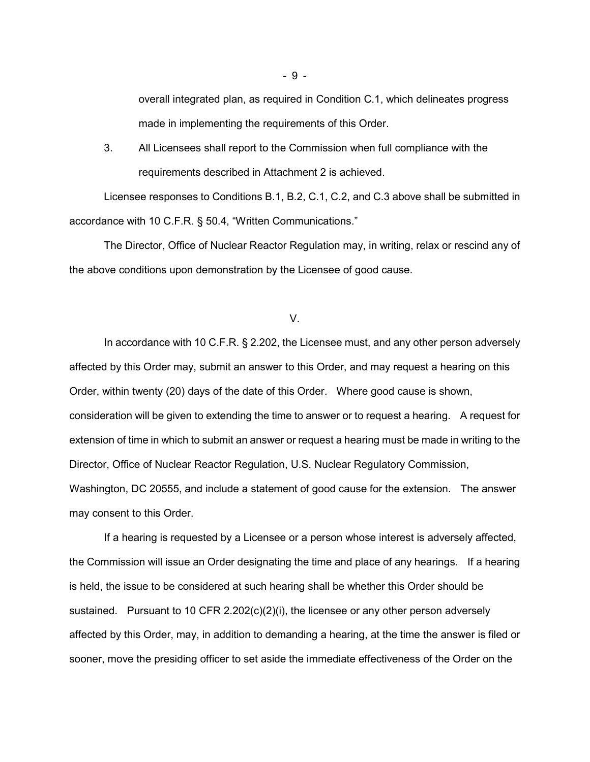overall integrated plan, as required in Condition C.1, which delineates progress made in implementing the requirements of this Order.

 3. All Licensees shall report to the Commission when full compliance with the requirements described in Attachment 2 is achieved.

Licensee responses to Conditions B.1, B.2, C.1, C.2, and C.3 above shall be submitted in accordance with 10 C.F.R. § 50.4, "Written Communications."

The Director, Office of Nuclear Reactor Regulation may, in writing, relax or rescind any of the above conditions upon demonstration by the Licensee of good cause.

V.

In accordance with 10 C.F.R. § 2.202, the Licensee must, and any other person adversely affected by this Order may, submit an answer to this Order, and may request a hearing on this Order, within twenty (20) days of the date of this Order. Where good cause is shown, consideration will be given to extending the time to answer or to request a hearing. A request for extension of time in which to submit an answer or request a hearing must be made in writing to the Director, Office of Nuclear Reactor Regulation, U.S. Nuclear Regulatory Commission, Washington, DC 20555, and include a statement of good cause for the extension. The answer may consent to this Order.

If a hearing is requested by a Licensee or a person whose interest is adversely affected, the Commission will issue an Order designating the time and place of any hearings. If a hearing is held, the issue to be considered at such hearing shall be whether this Order should be sustained. Pursuant to 10 CFR 2.202(c)(2)(i), the licensee or any other person adversely affected by this Order, may, in addition to demanding a hearing, at the time the answer is filed or sooner, move the presiding officer to set aside the immediate effectiveness of the Order on the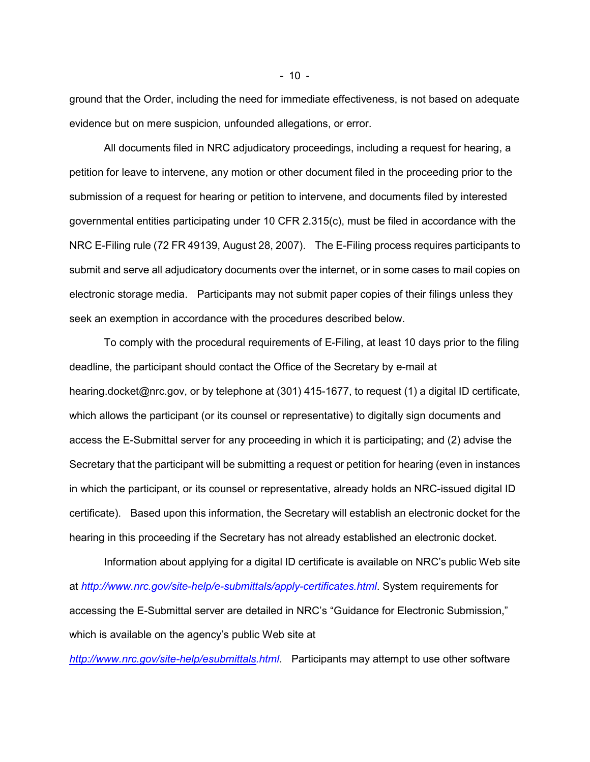ground that the Order, including the need for immediate effectiveness, is not based on adequate evidence but on mere suspicion, unfounded allegations, or error.

All documents filed in NRC adjudicatory proceedings, including a request for hearing, a petition for leave to intervene, any motion or other document filed in the proceeding prior to the submission of a request for hearing or petition to intervene, and documents filed by interested governmental entities participating under 10 CFR 2.315(c), must be filed in accordance with the NRC E-Filing rule (72 FR 49139, August 28, 2007). The E-Filing process requires participants to submit and serve all adjudicatory documents over the internet, or in some cases to mail copies on electronic storage media. Participants may not submit paper copies of their filings unless they seek an exemption in accordance with the procedures described below.

To comply with the procedural requirements of E-Filing, at least 10 days prior to the filing deadline, the participant should contact the Office of the Secretary by e-mail at hearing.docket@nrc.gov, or by telephone at (301) 415-1677, to request (1) a digital ID certificate, which allows the participant (or its counsel or representative) to digitally sign documents and access the E-Submittal server for any proceeding in which it is participating; and (2) advise the Secretary that the participant will be submitting a request or petition for hearing (even in instances in which the participant, or its counsel or representative, already holds an NRC-issued digital ID certificate). Based upon this information, the Secretary will establish an electronic docket for the hearing in this proceeding if the Secretary has not already established an electronic docket.

Information about applying for a digital ID certificate is available on NRC's public Web site at *http://www.nrc.gov/site-help/e-submittals/apply-certificates.html*. System requirements for accessing the E-Submittal server are detailed in NRC's "Guidance for Electronic Submission," which is available on the agency's public Web site at

*http://www.nrc.gov/site-help/esubmittals.html*. Participants may attempt to use other software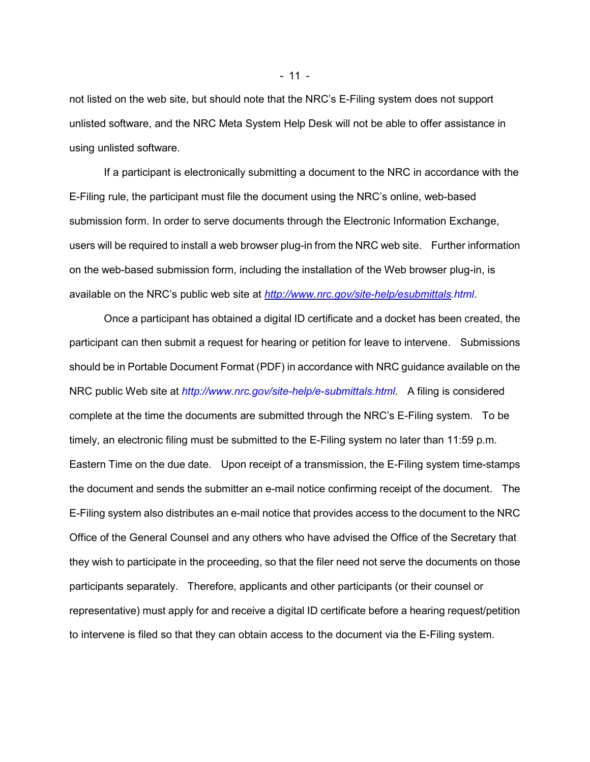not listed on the web site, but should note that the NRC's E-Filing system does not support unlisted software, and the NRC Meta System Help Desk will not be able to offer assistance in using unlisted software.

If a participant is electronically submitting a document to the NRC in accordance with the E-Filing rule, the participant must file the document using the NRC's online, web-based submission form. In order to serve documents through the Electronic Information Exchange, users will be required to install a web browser plug-in from the NRC web site. Further information on the web-based submission form, including the installation of the Web browser plug-in, is available on the NRC's public web site at *http://www.nrc.gov/site-help/esubmittals.html*.

Once a participant has obtained a digital ID certificate and a docket has been created, the participant can then submit a request for hearing or petition for leave to intervene. Submissions should be in Portable Document Format (PDF) in accordance with NRC guidance available on the NRC public Web site at *http://www.nrc.gov/site-help/e-submittals.html*. A filing is considered complete at the time the documents are submitted through the NRC's E-Filing system. To be timely, an electronic filing must be submitted to the E-Filing system no later than 11:59 p.m. Eastern Time on the due date. Upon receipt of a transmission, the E-Filing system time-stamps the document and sends the submitter an e-mail notice confirming receipt of the document. The E-Filing system also distributes an e-mail notice that provides access to the document to the NRC Office of the General Counsel and any others who have advised the Office of the Secretary that they wish to participate in the proceeding, so that the filer need not serve the documents on those participants separately. Therefore, applicants and other participants (or their counsel or representative) must apply for and receive a digital ID certificate before a hearing request/petition to intervene is filed so that they can obtain access to the document via the E-Filing system.

- 11 -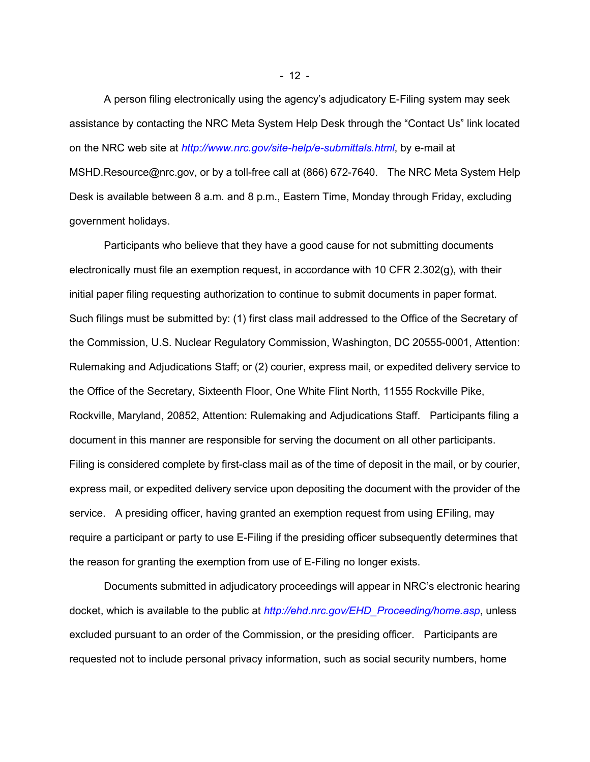A person filing electronically using the agency's adjudicatory E-Filing system may seek assistance by contacting the NRC Meta System Help Desk through the "Contact Us" link located on the NRC web site at *http://www.nrc.gov/site-help/e-submittals.html*, by e-mail at MSHD.Resource@nrc.gov, or by a toll-free call at (866) 672-7640. The NRC Meta System Help Desk is available between 8 a.m. and 8 p.m., Eastern Time, Monday through Friday, excluding government holidays.

Participants who believe that they have a good cause for not submitting documents electronically must file an exemption request, in accordance with 10 CFR 2.302(g), with their initial paper filing requesting authorization to continue to submit documents in paper format. Such filings must be submitted by: (1) first class mail addressed to the Office of the Secretary of the Commission, U.S. Nuclear Regulatory Commission, Washington, DC 20555-0001, Attention: Rulemaking and Adjudications Staff; or (2) courier, express mail, or expedited delivery service to the Office of the Secretary, Sixteenth Floor, One White Flint North, 11555 Rockville Pike, Rockville, Maryland, 20852, Attention: Rulemaking and Adjudications Staff. Participants filing a document in this manner are responsible for serving the document on all other participants. Filing is considered complete by first-class mail as of the time of deposit in the mail, or by courier, express mail, or expedited delivery service upon depositing the document with the provider of the service. A presiding officer, having granted an exemption request from using EFiling, may require a participant or party to use E-Filing if the presiding officer subsequently determines that the reason for granting the exemption from use of E-Filing no longer exists.

Documents submitted in adjudicatory proceedings will appear in NRC's electronic hearing docket, which is available to the public at *http://ehd.nrc.gov/EHD\_Proceeding/home.asp*, unless excluded pursuant to an order of the Commission, or the presiding officer. Participants are requested not to include personal privacy information, such as social security numbers, home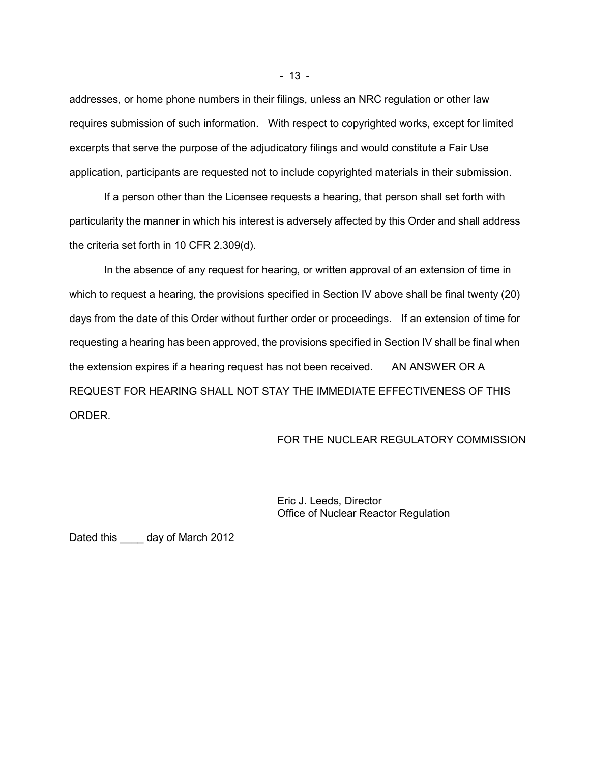addresses, or home phone numbers in their filings, unless an NRC regulation or other law requires submission of such information. With respect to copyrighted works, except for limited excerpts that serve the purpose of the adjudicatory filings and would constitute a Fair Use application, participants are requested not to include copyrighted materials in their submission.

If a person other than the Licensee requests a hearing, that person shall set forth with particularity the manner in which his interest is adversely affected by this Order and shall address the criteria set forth in 10 CFR 2.309(d).

In the absence of any request for hearing, or written approval of an extension of time in which to request a hearing, the provisions specified in Section IV above shall be final twenty (20) days from the date of this Order without further order or proceedings. If an extension of time for requesting a hearing has been approved, the provisions specified in Section IV shall be final when the extension expires if a hearing request has not been received. AN ANSWER OR A REQUEST FOR HEARING SHALL NOT STAY THE IMMEDIATE EFFECTIVENESS OF THIS ORDER.

#### FOR THE NUCLEAR REGULATORY COMMISSION

Eric J. Leeds, Director Office of Nuclear Reactor Regulation

Dated this \_\_\_\_ day of March 2012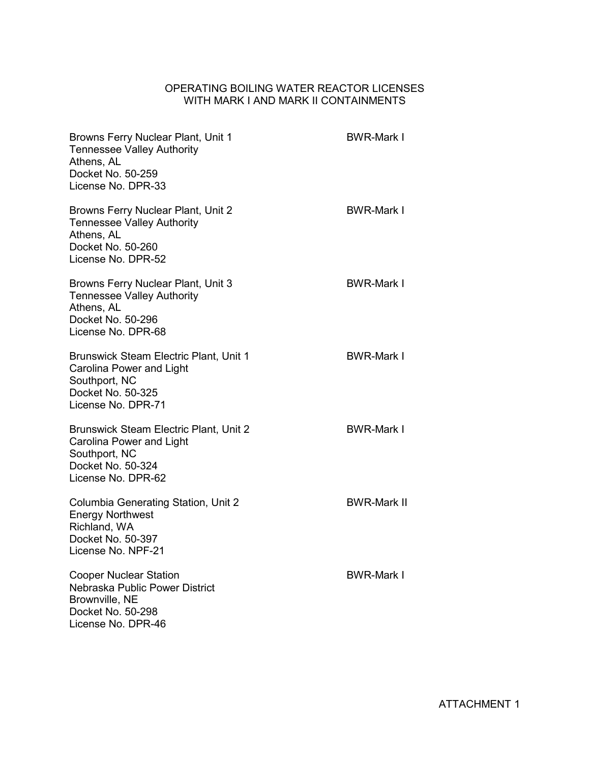# OPERATING BOILING WATER REACTOR LICENSES WITH MARK I AND MARK II CONTAINMENTS

| Browns Ferry Nuclear Plant, Unit 1<br><b>Tennessee Valley Authority</b><br>Athens, AL<br>Docket No. 50-259<br>License No. DPR-33      | <b>BWR-Mark I</b>  |
|---------------------------------------------------------------------------------------------------------------------------------------|--------------------|
| Browns Ferry Nuclear Plant, Unit 2<br><b>Tennessee Valley Authority</b><br>Athens, AL<br>Docket No. 50-260<br>License No. DPR-52      | <b>BWR-Mark I</b>  |
| Browns Ferry Nuclear Plant, Unit 3<br><b>Tennessee Valley Authority</b><br>Athens, AL<br>Docket No. 50-296<br>License No. DPR-68      | <b>BWR-Mark I</b>  |
| <b>Brunswick Steam Electric Plant, Unit 1</b><br>Carolina Power and Light<br>Southport, NC<br>Docket No. 50-325<br>License No. DPR-71 | <b>BWR-Mark I</b>  |
| <b>Brunswick Steam Electric Plant, Unit 2</b><br>Carolina Power and Light<br>Southport, NC<br>Docket No. 50-324<br>License No. DPR-62 | <b>BWR-Mark I</b>  |
| Columbia Generating Station, Unit 2<br><b>Energy Northwest</b><br>Richland, WA<br>Docket No. 50-397<br>License No. NPF-21             | <b>BWR-Mark II</b> |
| <b>Cooper Nuclear Station</b><br>Nebraska Public Power District<br>Brownville, NE<br>Docket No. 50-298<br>License No. DPR-46          | <b>BWR-Mark I</b>  |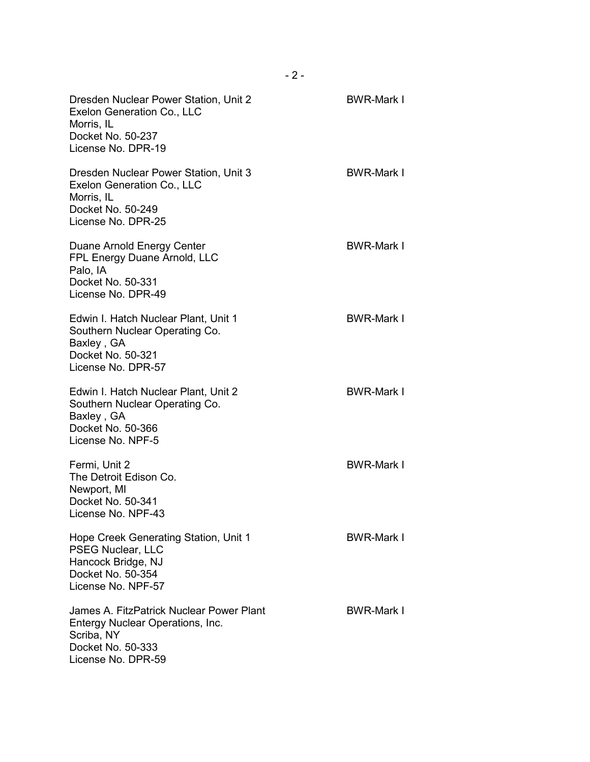| Dresden Nuclear Power Station, Unit 2<br>Exelon Generation Co., LLC<br>Morris, IL<br>Docket No. 50-237<br>License No. DPR-19          | <b>BWR-Mark I</b> |
|---------------------------------------------------------------------------------------------------------------------------------------|-------------------|
| Dresden Nuclear Power Station, Unit 3<br>Exelon Generation Co., LLC<br>Morris, IL<br>Docket No. 50-249<br>License No. DPR-25          | <b>BWR-Mark I</b> |
| Duane Arnold Energy Center<br>FPL Energy Duane Arnold, LLC<br>Palo, IA<br>Docket No. 50-331<br>License No. DPR-49                     | <b>BWR-Mark I</b> |
| Edwin I. Hatch Nuclear Plant, Unit 1<br>Southern Nuclear Operating Co.<br>Baxley, GA<br>Docket No. 50-321<br>License No. DPR-57       | <b>BWR-Mark I</b> |
| Edwin I. Hatch Nuclear Plant, Unit 2<br>Southern Nuclear Operating Co.<br>Baxley, GA<br>Docket No. 50-366<br>License No. NPF-5        | <b>BWR-Mark I</b> |
| Fermi, Unit 2<br>The Detroit Edison Co.<br>Newport, MI<br>Docket No. 50-341<br>License No. NPF-43                                     | <b>BWR-Mark I</b> |
| Hope Creek Generating Station, Unit 1<br>PSEG Nuclear, LLC<br>Hancock Bridge, NJ<br>Docket No. 50-354<br>License No. NPF-57           | <b>BWR-Mark I</b> |
| James A. FitzPatrick Nuclear Power Plant<br>Entergy Nuclear Operations, Inc.<br>Scriba, NY<br>Docket No. 50-333<br>License No. DPR-59 | <b>BWR-Mark I</b> |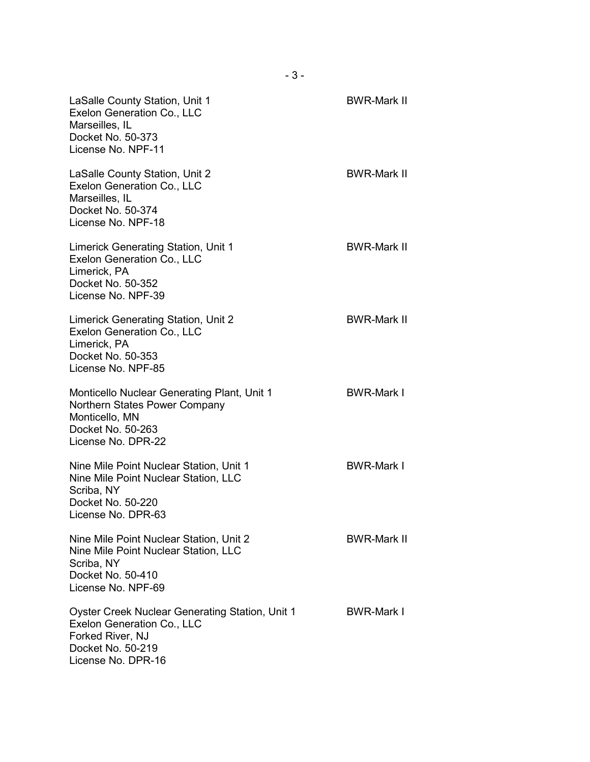| LaSalle County Station, Unit 1<br>Exelon Generation Co., LLC<br>Marseilles, IL<br>Docket No. 50-373<br>License No. NPF-11                        | <b>BWR-Mark II</b> |
|--------------------------------------------------------------------------------------------------------------------------------------------------|--------------------|
| LaSalle County Station, Unit 2<br>Exelon Generation Co., LLC<br>Marseilles, IL<br>Docket No. 50-374<br>License No. NPF-18                        | <b>BWR-Mark II</b> |
| Limerick Generating Station, Unit 1<br>Exelon Generation Co., LLC<br>Limerick, PA<br>Docket No. 50-352<br>License No. NPF-39                     | <b>BWR-Mark II</b> |
| Limerick Generating Station, Unit 2<br>Exelon Generation Co., LLC<br>Limerick, PA<br>Docket No. 50-353<br>License No. NPF-85                     | <b>BWR-Mark II</b> |
| <b>Monticello Nuclear Generating Plant, Unit 1</b><br>Northern States Power Company<br>Monticello, MN<br>Docket No. 50-263<br>License No. DPR-22 | <b>BWR-Mark I</b>  |
| Nine Mile Point Nuclear Station, Unit 1<br>Nine Mile Point Nuclear Station, LLC<br>Scriba, NY<br>Docket No. 50-220<br>License No. DPR-63         | <b>BWR-Mark I</b>  |
| Nine Mile Point Nuclear Station, Unit 2<br>Nine Mile Point Nuclear Station, LLC<br>Scriba, NY<br>Docket No. 50-410<br>License No. NPF-69         | <b>BWR-Mark II</b> |
| Oyster Creek Nuclear Generating Station, Unit 1<br>Exelon Generation Co., LLC<br>Forked River, NJ<br>Docket No. 50-219<br>License No. DPR-16     | <b>BWR-Mark I</b>  |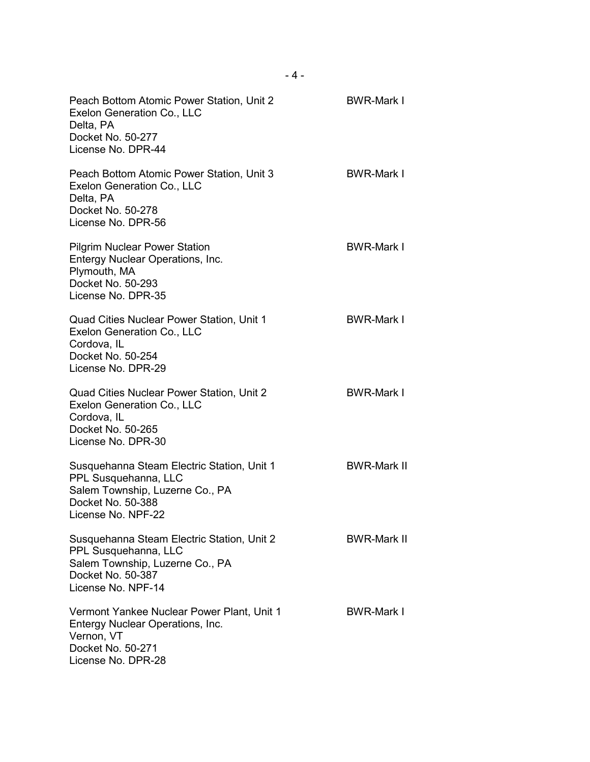| Peach Bottom Atomic Power Station, Unit 2<br>Exelon Generation Co., LLC<br>Delta, PA<br>Docket No. 50-277<br>License No. DPR-44                  | <b>BWR-Mark I</b>  |
|--------------------------------------------------------------------------------------------------------------------------------------------------|--------------------|
| Peach Bottom Atomic Power Station, Unit 3<br>Exelon Generation Co., LLC<br>Delta, PA<br>Docket No. 50-278<br>License No. DPR-56                  | <b>BWR-Mark I</b>  |
| <b>Pilgrim Nuclear Power Station</b><br>Entergy Nuclear Operations, Inc.<br>Plymouth, MA<br>Docket No. 50-293<br>License No. DPR-35              | <b>BWR-Mark I</b>  |
| Quad Cities Nuclear Power Station, Unit 1<br>Exelon Generation Co., LLC<br>Cordova, IL<br>Docket No. 50-254<br>License No. DPR-29                | <b>BWR-Mark I</b>  |
| Quad Cities Nuclear Power Station, Unit 2<br>Exelon Generation Co., LLC<br>Cordova, IL<br>Docket No. 50-265<br>License No. DPR-30                | <b>BWR-Mark I</b>  |
| Susquehanna Steam Electric Station, Unit 1<br>PPL Susquehanna, LLC<br>Salem Township, Luzerne Co., PA<br>Docket No. 50-388<br>License No. NPF-22 | <b>BWR-Mark II</b> |
| Susquehanna Steam Electric Station, Unit 2<br>PPL Susquehanna, LLC<br>Salem Township, Luzerne Co., PA<br>Docket No. 50-387<br>License No. NPF-14 | <b>BWR-Mark II</b> |
| Vermont Yankee Nuclear Power Plant, Unit 1<br>Entergy Nuclear Operations, Inc.<br>Vernon, VT<br>Docket No. 50-271<br>License No. DPR-28          | <b>BWR-Mark I</b>  |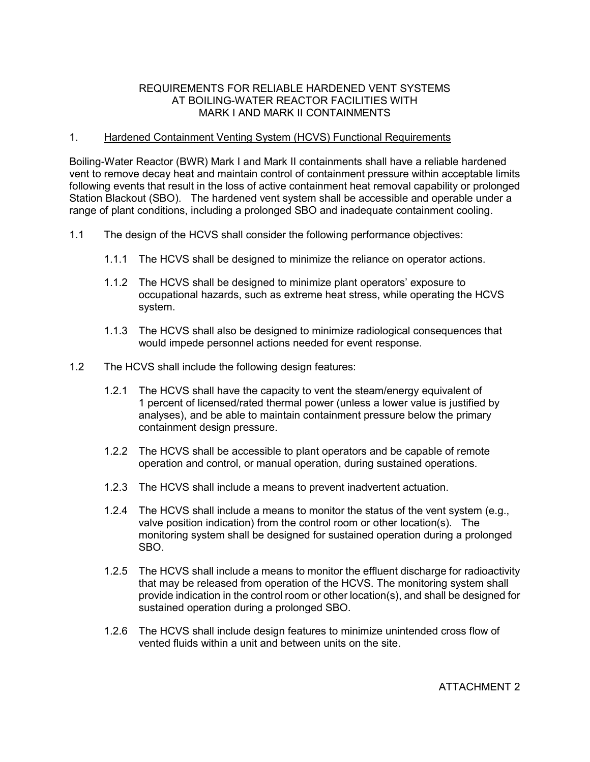## REQUIREMENTS FOR RELIABLE HARDENED VENT SYSTEMS AT BOILING-WATER REACTOR FACILITIES WITH MARK I AND MARK II CONTAINMENTS

## 1. Hardened Containment Venting System (HCVS) Functional Requirements

Boiling-Water Reactor (BWR) Mark I and Mark II containments shall have a reliable hardened vent to remove decay heat and maintain control of containment pressure within acceptable limits following events that result in the loss of active containment heat removal capability or prolonged Station Blackout (SBO). The hardened vent system shall be accessible and operable under a range of plant conditions, including a prolonged SBO and inadequate containment cooling.

- 1.1 The design of the HCVS shall consider the following performance objectives:
	- 1.1.1 The HCVS shall be designed to minimize the reliance on operator actions.
	- 1.1.2 The HCVS shall be designed to minimize plant operators' exposure to occupational hazards, such as extreme heat stress, while operating the HCVS system.
	- 1.1.3 The HCVS shall also be designed to minimize radiological consequences that would impede personnel actions needed for event response.
- 1.2 The HCVS shall include the following design features:
	- 1.2.1 The HCVS shall have the capacity to vent the steam/energy equivalent of 1 percent of licensed/rated thermal power (unless a lower value is justified by analyses), and be able to maintain containment pressure below the primary containment design pressure.
	- 1.2.2 The HCVS shall be accessible to plant operators and be capable of remote operation and control, or manual operation, during sustained operations.
	- 1.2.3 The HCVS shall include a means to prevent inadvertent actuation.
	- 1.2.4 The HCVS shall include a means to monitor the status of the vent system (e.g., valve position indication) from the control room or other location(s). The monitoring system shall be designed for sustained operation during a prolonged SBO.
	- 1.2.5 The HCVS shall include a means to monitor the effluent discharge for radioactivity that may be released from operation of the HCVS. The monitoring system shall provide indication in the control room or other location(s), and shall be designed for sustained operation during a prolonged SBO.
	- 1.2.6 The HCVS shall include design features to minimize unintended cross flow of vented fluids within a unit and between units on the site.